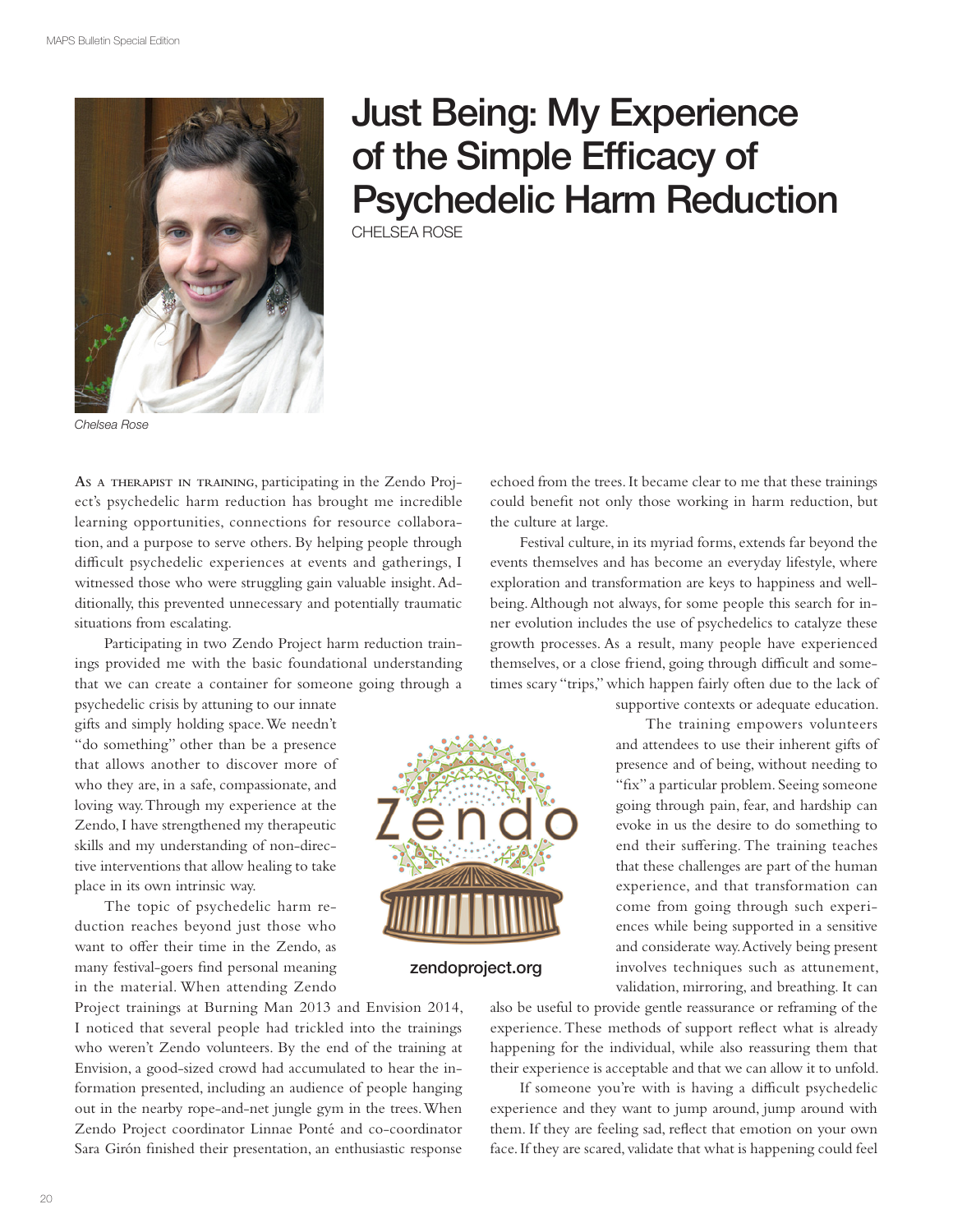

## Just Being: My Experience of the Simple Efficacy of Psychedelic Harm Reduction

CHELSEA ROSE

Chelsea Rose

**AS <sup>A</sup> THERAPIST IN TRAINING**, participating in the Zendo Project's psychedelic harm reduction has brought me incredible learning opportunities, connections for resource collaboration, and a purpose to serve others. By helping people through difficult psychedelic experiences at events and gatherings, I witnessed those who were struggling gain valuable insight. Additionally, this prevented unnecessary and potentially traumatic situations from escalating.

Participating in two Zendo Project harm reduction trainings provided me with the basic foundational understanding that we can create a container for someone going through a

psychedelic crisis by attuning to our innate gifts and simply holding space. We needn't "do something" other than be a presence that allows another to discover more of who they are, in a safe, compassionate, and loving way. Through my experience at the Zendo, I have strengthened my therapeutic skills and my understanding of non-directive interventions that allow healing to take place in its own intrinsic way.

The topic of psychedelic harm reduction reaches beyond just those who want to offer their time in the Zendo, as many festival-goers find personal meaning in the material. When attending Zendo

Project trainings at Burning Man 2013 and Envision 2014, I noticed that several people had trickled into the trainings who weren't Zendo volunteers. By the end of the training at Envision, a good-sized crowd had accumulated to hear the information presented, including an audience of people hanging out in the nearby rope-and-net jungle gym in the trees. When Zendo Project coordinator Linnae Ponté and co-coordinator Sara Girón finished their presentation, an enthusiastic response

echoed from the trees. It became clear to me that these trainings could benefit not only those working in harm reduction, but the culture at large.

Festival culture, in its myriad forms, extends far beyond the events themselves and has become an everyday lifestyle, where exploration and transformation are keys to happiness and wellbeing. Although not always, for some people this search for inner evolution includes the use of psychedelics to catalyze these growth processes. As a result, many people have experienced themselves, or a close friend, going through difficult and sometimes scary "trips," which happen fairly often due to the lack of

supportive contexts or adequate education.

The training empowers volunteers and attendees to use their inherent gifts of presence and of being, without needing to "fix" a particular problem. Seeing someone going through pain, fear, and hardship can evoke in us the desire to do something to end their suffering. The training teaches that these challenges are part of the human experience, and that transformation can come from going through such experiences while being supported in a sensitive and considerate way. Actively being present involves techniques such as attunement, validation, mirroring, and breathing. It can

zendoproject.org

also be useful to provide gentle reassurance or reframing of the experience. These methods of support reflect what is already happening for the individual, while also reassuring them that their experience is acceptable and that we can allow it to unfold.

If someone you're with is having a difficult psychedelic experience and they want to jump around, jump around with them. If they are feeling sad, reflect that emotion on your own face. If they are scared, validate that what is happening could feel